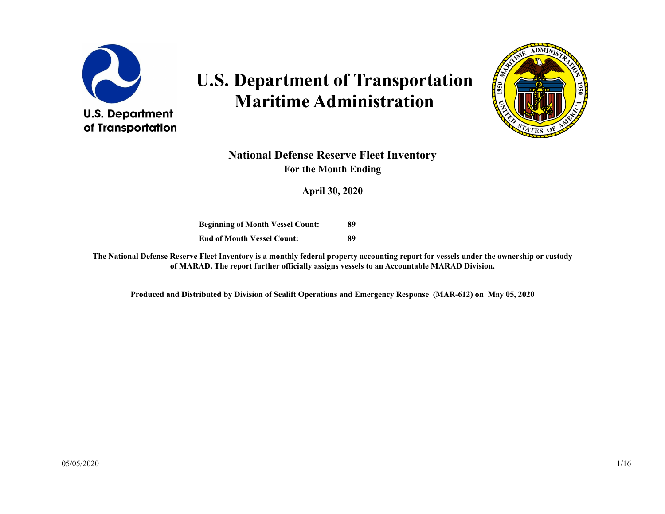

# **U.S. Department of Transportation Maritime Administration**



#### **National Defense Reserve Fleet Inventory For the Month Ending**

**April 30, 2020**

**Beginning of Month Vessel Count: End of Month Vessel Count: 89 89**

**The National Defense Reserve Fleet Inventory is a monthly federal property accounting report for vessels under the ownership or custody of MARAD. The report further officially assigns vessels to an Accountable MARAD Division.**

**Produced and Distributed by Division of Sealift Operations and Emergency Response (MAR-612) on May 05, 2020**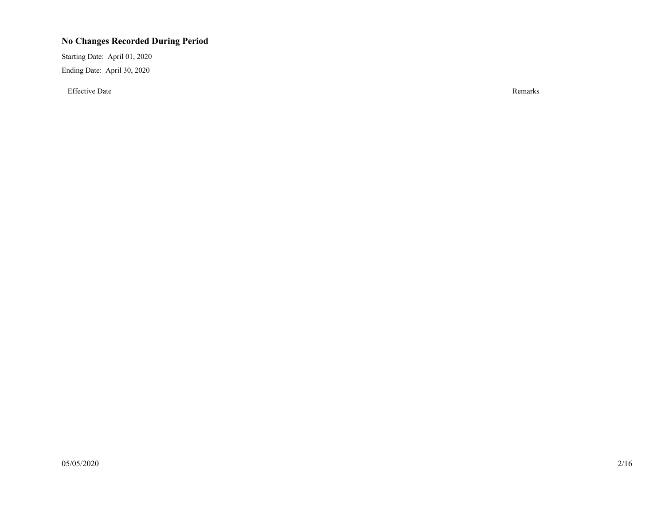#### **No Changes Recorded During Period**

Starting Date: April 01, 2020 Ending Date: April 30, 2020

Effective Date Remarks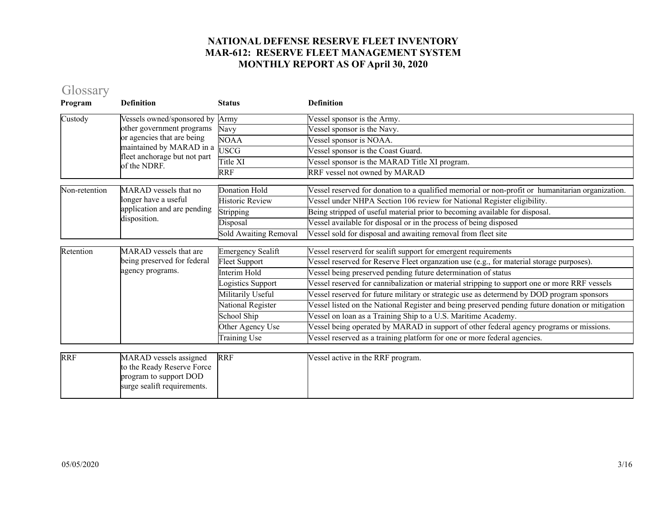# Glossary

| Program       | <b>Definition</b>                                                                                             | <b>Status</b>                | <b>Definition</b>                                                                                |
|---------------|---------------------------------------------------------------------------------------------------------------|------------------------------|--------------------------------------------------------------------------------------------------|
| Custody       | Vessels owned/sponsored by                                                                                    | Army                         | Vessel sponsor is the Army.                                                                      |
|               | other government programs                                                                                     | Navy                         | Vessel sponsor is the Navy.                                                                      |
|               | or agencies that are being                                                                                    | <b>NOAA</b>                  | Vessel sponsor is NOAA.                                                                          |
|               | maintained by MARAD in a<br>fleet anchorage but not part                                                      | <b>USCG</b>                  | Vessel sponsor is the Coast Guard.                                                               |
|               | of the NDRF.                                                                                                  | Title XI                     | Vessel sponsor is the MARAD Title XI program.                                                    |
|               |                                                                                                               | <b>RRF</b>                   | RRF vessel not owned by MARAD                                                                    |
| Non-retention | MARAD vessels that no                                                                                         | <b>Donation Hold</b>         | Vessel reserved for donation to a qualified memorial or non-profit or humanitarian organization. |
|               | longer have a useful                                                                                          | <b>Historic Review</b>       | Vessel under NHPA Section 106 review for National Register eligibility.                          |
|               | application and are pending                                                                                   | Stripping                    | Being stripped of useful material prior to becoming available for disposal.                      |
|               | disposition.                                                                                                  | Disposal                     | Vessel available for disposal or in the process of being disposed                                |
|               |                                                                                                               | <b>Sold Awaiting Removal</b> | Vessel sold for disposal and awaiting removal from fleet site                                    |
| Retention     | <b>MARAD</b> vessels that are                                                                                 | <b>Emergency Sealift</b>     | Vessel reserverd for sealift support for emergent requirements                                   |
|               | being preserved for federal<br>agency programs.                                                               | <b>Fleet Support</b>         | Vessel reserved for Reserve Fleet organzation use (e.g., for material storage purposes).         |
|               |                                                                                                               | Interim Hold                 | Vessel being preserved pending future determination of status                                    |
|               |                                                                                                               | ogistics Support             | Vessel reserved for cannibalization or material stripping to support one or more RRF vessels     |
|               |                                                                                                               | Militarily Useful            | Vessel reserved for future military or strategic use as determend by DOD program sponsors        |
|               |                                                                                                               | National Register            | Vessel listed on the National Register and being preserved pending future donation or mitigation |
|               |                                                                                                               | School Ship                  | Vessel on loan as a Training Ship to a U.S. Maritime Academy.                                    |
|               |                                                                                                               | Other Agency Use             | Vessel being operated by MARAD in support of other federal agency programs or missions.          |
|               |                                                                                                               | Training Use                 | Vessel reserved as a training platform for one or more federal agencies.                         |
|               |                                                                                                               |                              |                                                                                                  |
| <b>RRF</b>    | MARAD vessels assigned<br>to the Ready Reserve Force<br>program to support DOD<br>surge sealift requirements. | <b>RRF</b>                   | Vessel active in the RRF program.                                                                |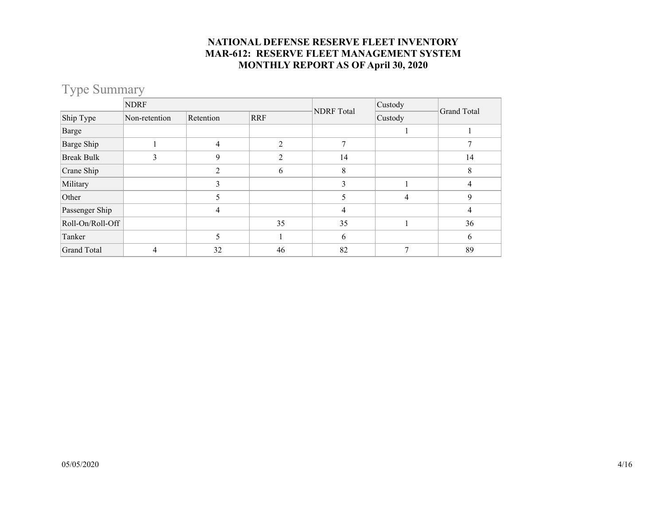## Type Summary

|                    | <b>NDRF</b>   |           |                |                   | Custody        | Grand Total |  |
|--------------------|---------------|-----------|----------------|-------------------|----------------|-------------|--|
| Ship Type          | Non-retention | Retention | <b>RRF</b>     | <b>NDRF</b> Total | Custody        |             |  |
| Barge              |               |           |                |                   |                |             |  |
| Barge Ship         |               | 4         | $\mathfrak{D}$ |                   |                |             |  |
| <b>Break Bulk</b>  |               | 9         |                | 14                |                | 14          |  |
| Crane Ship         |               | 2         | 6              | 8                 |                | 8           |  |
| Military           |               | 3         |                | 3                 |                | 4           |  |
| Other              |               | 5         |                | 5                 | $\overline{4}$ | 9           |  |
| Passenger Ship     |               | 4         |                | 4                 |                | 4           |  |
| Roll-On/Roll-Off   |               |           | 35             | 35                |                | 36          |  |
| Tanker             |               | 5         |                | 6                 |                | 6           |  |
| <b>Grand Total</b> | 4             | 32        | 46             | 82                |                | 89          |  |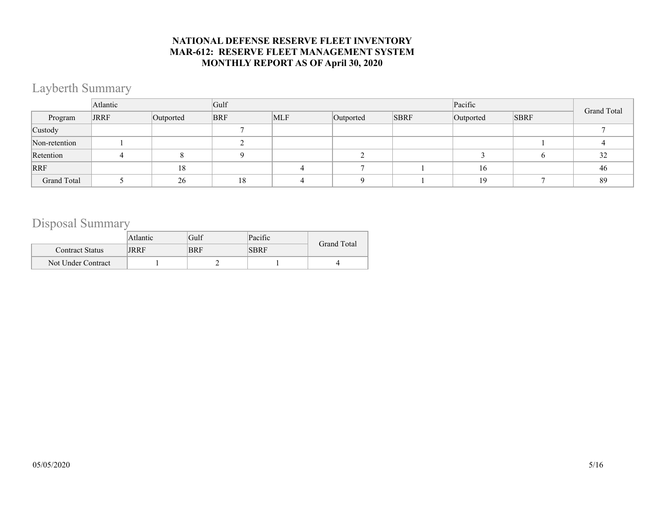### Layberth Summary

|               | Atlantic    |           | Gulf       |            |           |             | Pacific   |             |             |
|---------------|-------------|-----------|------------|------------|-----------|-------------|-----------|-------------|-------------|
| Program       | <b>JRRF</b> | Outported | <b>BRF</b> | <b>MLF</b> | Outported | <b>SBRF</b> | Outported | <b>SBRF</b> | Grand Total |
| Custody       |             |           |            |            |           |             |           |             |             |
| Non-retention |             |           |            |            |           |             |           |             |             |
| Retention     |             |           |            |            |           |             |           |             | 32          |
| <b>RRF</b>    |             | 18        |            |            |           |             | 16        |             | 46          |
| Grand Total   |             | 26        | 18         |            |           |             | 19        |             | 89          |

### Disposal Summary

|                        | Atlantic | Gulf       | Pacific     | <b>Grand Total</b> |
|------------------------|----------|------------|-------------|--------------------|
| <b>Contract Status</b> | JRRF     | <b>BRF</b> | <b>SBRF</b> |                    |
| Not Under Contract     |          |            |             |                    |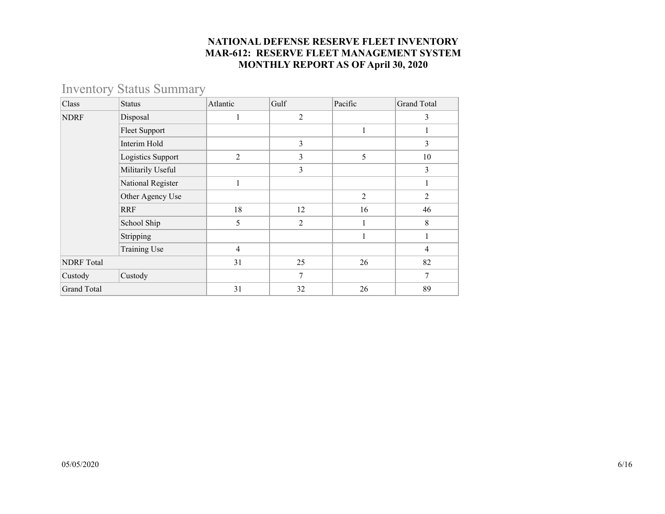## Inventory Status Summary

| Class              | <b>Status</b>        | Atlantic       | Gulf           | Pacific        | <b>Grand Total</b> |
|--------------------|----------------------|----------------|----------------|----------------|--------------------|
| <b>NDRF</b>        | Disposal             | 1              | $\overline{2}$ |                | 3                  |
|                    | <b>Fleet Support</b> |                |                |                |                    |
|                    | Interim Hold         |                | 3              |                | 3                  |
|                    | Logistics Support    | $\overline{2}$ | 3              | 5              | 10                 |
|                    | Militarily Useful    |                | 3              |                | 3                  |
|                    | National Register    |                |                |                |                    |
|                    | Other Agency Use     |                |                | $\overline{2}$ | 2                  |
|                    | <b>RRF</b>           | 18             | 12             | 16             | 46                 |
|                    | School Ship          | 5              | 2              |                | 8                  |
|                    | Stripping            |                |                | 1              |                    |
|                    | <b>Training Use</b>  | $\overline{4}$ |                |                | 4                  |
| <b>NDRF</b> Total  |                      | 31             | 25             | 26             | 82                 |
| Custody            | Custody              |                | $\overline{7}$ |                | 7                  |
| <b>Grand Total</b> |                      | 31             | 32             | 26             | 89                 |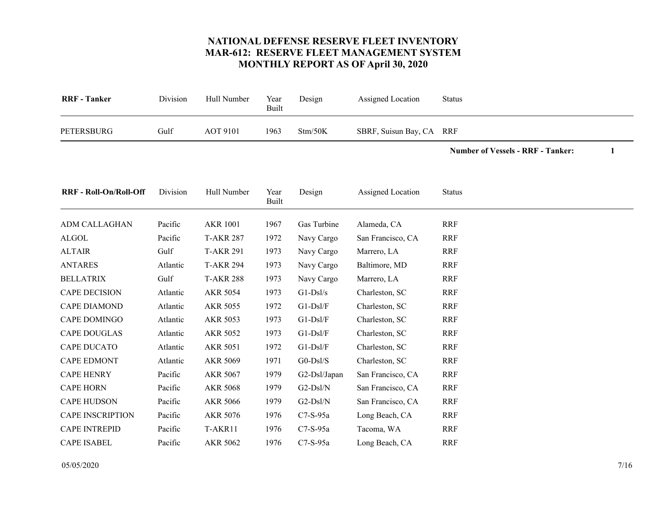<span id="page-6-17"></span>

|                    |                 | Built |         |                          |  |
|--------------------|-----------------|-------|---------|--------------------------|--|
| Gulf<br>PETERSBURG | <b>AOT 9101</b> | 1963  | Stm/50K | SBRF, Suisun Bay, CA RRF |  |

**Number of Vessels - RRF - Tanker: 1**

<span id="page-6-16"></span><span id="page-6-15"></span><span id="page-6-14"></span><span id="page-6-13"></span><span id="page-6-12"></span><span id="page-6-11"></span><span id="page-6-10"></span><span id="page-6-9"></span><span id="page-6-8"></span><span id="page-6-7"></span><span id="page-6-6"></span><span id="page-6-5"></span><span id="page-6-4"></span><span id="page-6-3"></span><span id="page-6-2"></span><span id="page-6-1"></span><span id="page-6-0"></span>

| <b>RRF</b> - Roll-On/Roll-Off | Division | Hull Number      | Year<br>Built | Design       | Assigned Location | <b>Status</b> |  |
|-------------------------------|----------|------------------|---------------|--------------|-------------------|---------------|--|
| ADM CALLAGHAN                 | Pacific  | <b>AKR 1001</b>  | 1967          | Gas Turbine  | Alameda, CA       | <b>RRF</b>    |  |
| <b>ALGOL</b>                  | Pacific  | <b>T-AKR 287</b> | 1972          | Navy Cargo   | San Francisco, CA | <b>RRF</b>    |  |
| <b>ALTAIR</b>                 | Gulf     | <b>T-AKR 291</b> | 1973          | Navy Cargo   | Marrero, LA       | <b>RRF</b>    |  |
| <b>ANTARES</b>                | Atlantic | <b>T-AKR 294</b> | 1973          | Navy Cargo   | Baltimore, MD     | <b>RRF</b>    |  |
| <b>BELLATRIX</b>              | Gulf     | <b>T-AKR 288</b> | 1973          | Navy Cargo   | Marrero, LA       | <b>RRF</b>    |  |
| <b>CAPE DECISION</b>          | Atlantic | <b>AKR 5054</b>  | 1973          | $G1-DSl/s$   | Charleston, SC    | <b>RRF</b>    |  |
| <b>CAPE DIAMOND</b>           | Atlantic | <b>AKR 5055</b>  | 1972          | $G1-DsI/F$   | Charleston, SC    | <b>RRF</b>    |  |
| CAPE DOMINGO                  | Atlantic | <b>AKR 5053</b>  | 1973          | $G1-DsI/F$   | Charleston, SC    | <b>RRF</b>    |  |
| <b>CAPE DOUGLAS</b>           | Atlantic | <b>AKR 5052</b>  | 1973          | $G1-DsI/F$   | Charleston, SC    | <b>RRF</b>    |  |
| <b>CAPE DUCATO</b>            | Atlantic | <b>AKR 5051</b>  | 1972          | $G1-DsI/F$   | Charleston, SC    | <b>RRF</b>    |  |
| <b>CAPE EDMONT</b>            | Atlantic | <b>AKR 5069</b>  | 1971          | $G0-Dsl/S$   | Charleston, SC    | <b>RRF</b>    |  |
| <b>CAPE HENRY</b>             | Pacific  | <b>AKR 5067</b>  | 1979          | G2-Dsl/Japan | San Francisco, CA | <b>RRF</b>    |  |
| <b>CAPE HORN</b>              | Pacific  | <b>AKR 5068</b>  | 1979          | $G2-Dsl/N$   | San Francisco, CA | <b>RRF</b>    |  |
| <b>CAPE HUDSON</b>            | Pacific  | <b>AKR 5066</b>  | 1979          | $G2-Dsl/N$   | San Francisco, CA | <b>RRF</b>    |  |
| <b>CAPE INSCRIPTION</b>       | Pacific  | AKR 5076         | 1976          | $C7-S-95a$   | Long Beach, CA    | <b>RRF</b>    |  |
| <b>CAPE INTREPID</b>          | Pacific  | T-AKR11          | 1976          | C7-S-95a     | Tacoma, WA        | <b>RRF</b>    |  |
| <b>CAPE ISABEL</b>            | Pacific  | <b>AKR 5062</b>  | 1976          | $C7-S-95a$   | Long Beach, CA    | <b>RRF</b>    |  |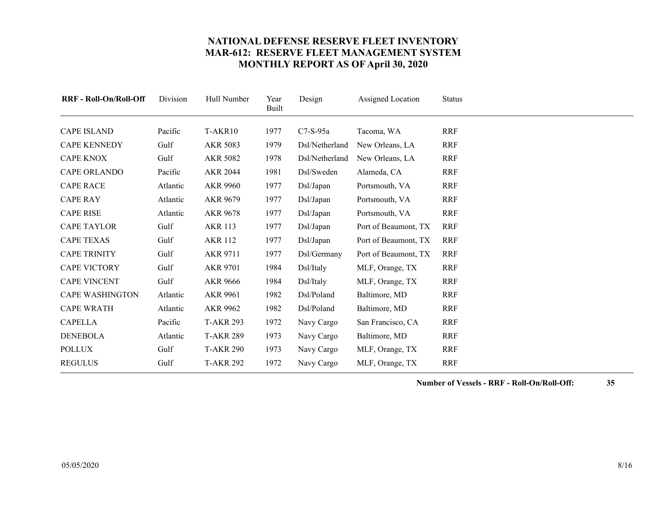<span id="page-7-17"></span><span id="page-7-16"></span><span id="page-7-15"></span><span id="page-7-14"></span><span id="page-7-13"></span><span id="page-7-12"></span><span id="page-7-11"></span><span id="page-7-10"></span><span id="page-7-9"></span><span id="page-7-8"></span><span id="page-7-7"></span><span id="page-7-6"></span><span id="page-7-5"></span><span id="page-7-4"></span><span id="page-7-3"></span><span id="page-7-2"></span><span id="page-7-1"></span><span id="page-7-0"></span>

| <b>RRF - Roll-On/Roll-Off</b> | Division | Hull Number      | Year<br><b>Built</b> | Design         | Assigned Location    | <b>Status</b> |
|-------------------------------|----------|------------------|----------------------|----------------|----------------------|---------------|
| <b>CAPE ISLAND</b>            | Pacific  | T-AKR10          | 1977                 | $C7-S-95a$     | Tacoma, WA           | <b>RRF</b>    |
| <b>CAPE KENNEDY</b>           | Gulf     | <b>AKR 5083</b>  | 1979                 | Dsl/Netherland | New Orleans, LA      | <b>RRF</b>    |
| <b>CAPE KNOX</b>              | Gulf     | <b>AKR 5082</b>  | 1978                 | Dsl/Netherland | New Orleans, LA      | <b>RRF</b>    |
| <b>CAPE ORLANDO</b>           | Pacific  | <b>AKR 2044</b>  | 1981                 | Dsl/Sweden     | Alameda, CA          | <b>RRF</b>    |
| <b>CAPE RACE</b>              | Atlantic | <b>AKR 9960</b>  | 1977                 | Dsl/Japan      | Portsmouth, VA       | <b>RRF</b>    |
| <b>CAPE RAY</b>               | Atlantic | AKR 9679         | 1977                 | Dsl/Japan      | Portsmouth, VA       | <b>RRF</b>    |
| <b>CAPE RISE</b>              | Atlantic | <b>AKR 9678</b>  | 1977                 | Dsl/Japan      | Portsmouth, VA       | <b>RRF</b>    |
| <b>CAPE TAYLOR</b>            | Gulf     | <b>AKR 113</b>   | 1977                 | Dsl/Japan      | Port of Beaumont, TX | <b>RRF</b>    |
| <b>CAPE TEXAS</b>             | Gulf     | <b>AKR 112</b>   | 1977                 | Dsl/Japan      | Port of Beaumont, TX | <b>RRF</b>    |
| <b>CAPE TRINITY</b>           | Gulf     | <b>AKR 9711</b>  | 1977                 | Dsl/Germany    | Port of Beaumont, TX | <b>RRF</b>    |
| <b>CAPE VICTORY</b>           | Gulf     | <b>AKR 9701</b>  | 1984                 | Dsl/Italy      | MLF, Orange, TX      | <b>RRF</b>    |
| <b>CAPE VINCENT</b>           | Gulf     | <b>AKR 9666</b>  | 1984                 | Dsl/Italy      | MLF, Orange, TX      | <b>RRF</b>    |
| <b>CAPE WASHINGTON</b>        | Atlantic | <b>AKR 9961</b>  | 1982                 | Dsl/Poland     | Baltimore, MD        | <b>RRF</b>    |
| <b>CAPE WRATH</b>             | Atlantic | AKR 9962         | 1982                 | Dsl/Poland     | Baltimore, MD        | <b>RRF</b>    |
| <b>CAPELLA</b>                | Pacific  | <b>T-AKR 293</b> | 1972                 | Navy Cargo     | San Francisco, CA    | <b>RRF</b>    |
| <b>DENEBOLA</b>               | Atlantic | <b>T-AKR 289</b> | 1973                 | Navy Cargo     | Baltimore, MD        | <b>RRF</b>    |
| <b>POLLUX</b>                 | Gulf     | <b>T-AKR 290</b> | 1973                 | Navy Cargo     | MLF, Orange, TX      | <b>RRF</b>    |
| <b>REGULUS</b>                | Gulf     | <b>T-AKR 292</b> | 1972                 | Navy Cargo     | MLF, Orange, TX      | <b>RRF</b>    |

**Number of Vessels - RRF - Roll-On/Roll-Off: 35**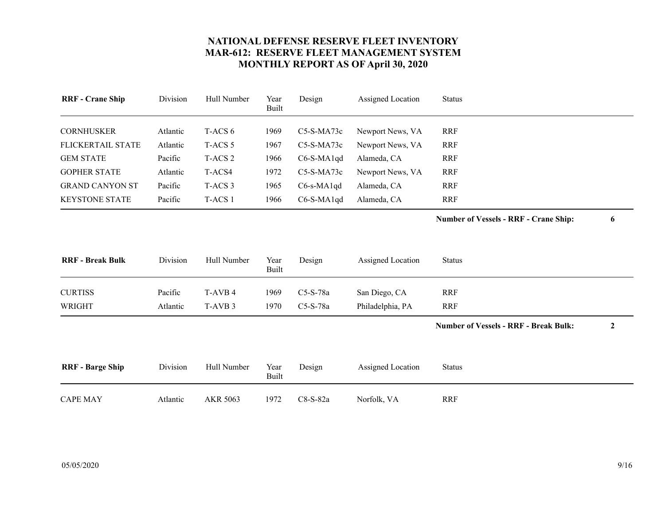<span id="page-8-8"></span><span id="page-8-7"></span><span id="page-8-6"></span><span id="page-8-5"></span><span id="page-8-4"></span><span id="page-8-3"></span><span id="page-8-2"></span><span id="page-8-1"></span><span id="page-8-0"></span>

| <b>RRF</b> - Crane Ship  | Division | Hull Number        | Year<br><b>Built</b> | Design       | Assigned Location | <b>Status</b>                                |                  |
|--------------------------|----------|--------------------|----------------------|--------------|-------------------|----------------------------------------------|------------------|
| <b>CORNHUSKER</b>        | Atlantic | T-ACS 6            | 1969                 | C5-S-MA73c   | Newport News, VA  | <b>RRF</b>                                   |                  |
| <b>FLICKERTAIL STATE</b> | Atlantic | T-ACS <sub>5</sub> | 1967                 | C5-S-MA73c   | Newport News, VA  | <b>RRF</b>                                   |                  |
| <b>GEM STATE</b>         | Pacific  | T-ACS <sub>2</sub> | 1966                 | C6-S-MA1qd   | Alameda, CA       | <b>RRF</b>                                   |                  |
| <b>GOPHER STATE</b>      | Atlantic | T-ACS4             | 1972                 | $C5-S-MA73c$ | Newport News, VA  | <b>RRF</b>                                   |                  |
| <b>GRAND CANYON ST</b>   | Pacific  | T-ACS <sub>3</sub> | 1965                 | C6-s-MA1qd   | Alameda, CA       | <b>RRF</b>                                   |                  |
| <b>KEYSTONE STATE</b>    | Pacific  | T-ACS 1            | 1966                 | C6-S-MA1qd   | Alameda, CA       | <b>RRF</b>                                   |                  |
|                          |          |                    |                      |              |                   | <b>Number of Vessels - RRF - Crane Ship:</b> | 6                |
| <b>RRF</b> - Break Bulk  | Division | Hull Number        | Year<br><b>Built</b> | Design       | Assigned Location | <b>Status</b>                                |                  |
| <b>CURTISS</b>           | Pacific  | T-AVB 4            | 1969                 | C5-S-78a     | San Diego, CA     | <b>RRF</b>                                   |                  |
| <b>WRIGHT</b>            | Atlantic | T-AVB 3            | 1970                 | C5-S-78a     | Philadelphia, PA  | <b>RRF</b>                                   |                  |
|                          |          |                    |                      |              |                   | <b>Number of Vessels - RRF - Break Bulk:</b> | $\boldsymbol{2}$ |
| <b>RRF</b> - Barge Ship  | Division | Hull Number        | Year<br><b>Built</b> | Design       | Assigned Location | <b>Status</b>                                |                  |
| <b>CAPE MAY</b>          | Atlantic | AKR 5063           | 1972                 | C8-S-82a     | Norfolk, VA       | <b>RRF</b>                                   |                  |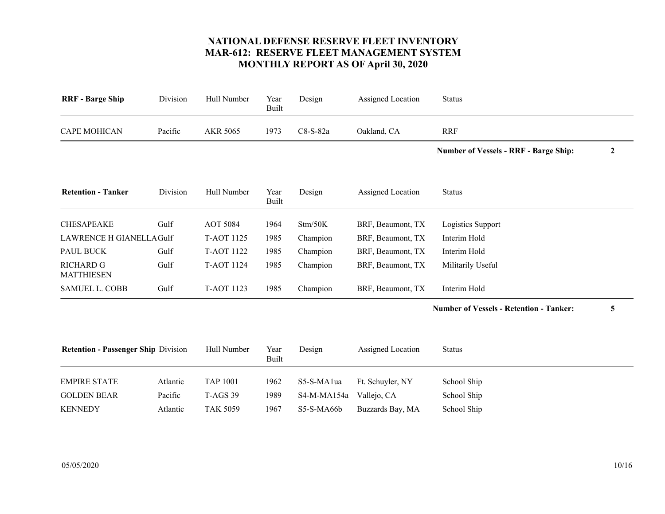<span id="page-9-8"></span><span id="page-9-7"></span><span id="page-9-6"></span><span id="page-9-5"></span><span id="page-9-4"></span><span id="page-9-3"></span><span id="page-9-2"></span><span id="page-9-1"></span><span id="page-9-0"></span>

| <b>RRF</b> - Barge Ship                    | Division            | Hull Number                        | Year<br><b>Built</b> | Design                    | Assigned Location               | <b>Status</b>                                  |              |
|--------------------------------------------|---------------------|------------------------------------|----------------------|---------------------------|---------------------------------|------------------------------------------------|--------------|
| <b>CAPE MOHICAN</b>                        | Pacific             | <b>AKR 5065</b>                    | 1973                 | C8-S-82a                  | Oakland, CA                     | <b>RRF</b>                                     |              |
|                                            |                     |                                    |                      |                           |                                 | <b>Number of Vessels - RRF - Barge Ship:</b>   | $\mathbf{2}$ |
| <b>Retention - Tanker</b>                  | Division            | Hull Number                        | Year<br><b>Built</b> | Design                    | Assigned Location               | <b>Status</b>                                  |              |
| <b>CHESAPEAKE</b>                          | Gulf                | <b>AOT 5084</b>                    | 1964                 | Stm/50K                   | BRF, Beaumont, TX               | Logistics Support                              |              |
| <b>LAWRENCE H GIANELLAGulf</b>             |                     | <b>T-AOT 1125</b>                  | 1985                 | Champion                  | BRF, Beaumont, TX               | Interim Hold                                   |              |
| PAUL BUCK                                  | Gulf                | <b>T-AOT 1122</b>                  | 1985                 | Champion                  | BRF, Beaumont, TX               | Interim Hold                                   |              |
| <b>RICHARD G</b><br><b>MATTHIESEN</b>      | Gulf                | T-AOT 1124                         | 1985                 | Champion                  | BRF, Beaumont, TX               | Militarily Useful                              |              |
| <b>SAMUEL L. COBB</b>                      | Gulf                | T-AOT 1123                         | 1985                 | Champion                  | BRF, Beaumont, TX               | Interim Hold                                   |              |
|                                            |                     |                                    |                      |                           |                                 | <b>Number of Vessels - Retention - Tanker:</b> | 5            |
| <b>Retention - Passenger Ship Division</b> |                     | Hull Number                        | Year<br><b>Built</b> | Design                    | Assigned Location               | <b>Status</b>                                  |              |
|                                            |                     |                                    |                      |                           |                                 |                                                |              |
|                                            |                     |                                    |                      |                           |                                 |                                                |              |
| <b>KENNEDY</b>                             | Atlantic            | <b>TAK 5059</b>                    | 1967                 | S5-S-MA66b                | Buzzards Bay, MA                | School Ship                                    |              |
| <b>EMPIRE STATE</b><br><b>GOLDEN BEAR</b>  | Atlantic<br>Pacific | <b>TAP 1001</b><br><b>T-AGS 39</b> | 1962<br>1989         | S5-S-MA1ua<br>S4-M-MA154a | Ft. Schuyler, NY<br>Vallejo, CA | School Ship<br>School Ship                     |              |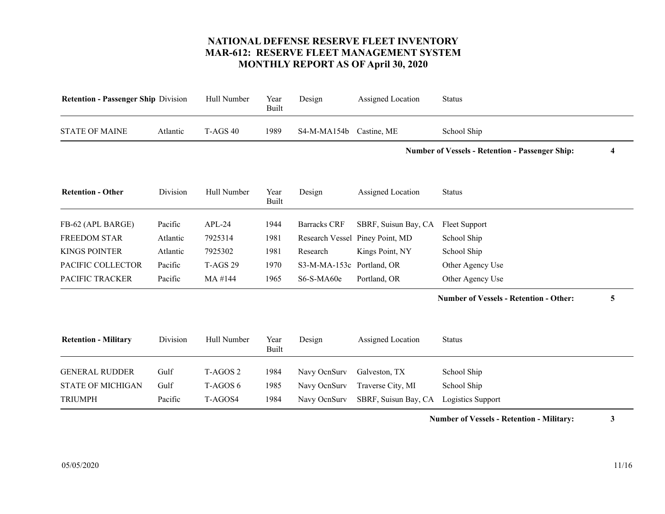<span id="page-10-8"></span><span id="page-10-7"></span><span id="page-10-6"></span><span id="page-10-5"></span><span id="page-10-4"></span><span id="page-10-3"></span><span id="page-10-2"></span><span id="page-10-1"></span><span id="page-10-0"></span>

| <b>Retention - Passenger Ship Division</b> | Hull Number         | Year<br><b>Built</b> | Design              | Assigned Location    | <b>Status</b>                                 |                                                        |
|--------------------------------------------|---------------------|----------------------|---------------------|----------------------|-----------------------------------------------|--------------------------------------------------------|
| Atlantic                                   | <b>T-AGS 40</b>     | 1989                 | S4-M-MA154b         | Castine, ME          | School Ship                                   |                                                        |
|                                            |                     |                      |                     |                      |                                               | 4                                                      |
| Division                                   | Hull Number         | Year<br>Built        | Design              | Assigned Location    | <b>Status</b>                                 |                                                        |
| Pacific                                    | $APL-24$            | 1944                 | <b>Barracks CRF</b> | SBRF, Suisun Bay, CA | <b>Fleet Support</b>                          |                                                        |
| Atlantic                                   | 7925314             | 1981                 |                     | Piney Point, MD      | School Ship                                   |                                                        |
| Atlantic                                   | 7925302             | 1981                 | Research            | Kings Point, NY      | School Ship                                   |                                                        |
| Pacific                                    | <b>T-AGS 29</b>     | 1970                 | S3-M-MA-153c        | Portland, OR         | Other Agency Use                              |                                                        |
| Pacific                                    | MA #144             | 1965                 | S6-S-MA60e          | Portland, OR         | Other Agency Use                              |                                                        |
|                                            |                     |                      |                     |                      | <b>Number of Vessels - Retention - Other:</b> | 5                                                      |
| Division                                   | Hull Number         | Year<br><b>Built</b> | Design              | Assigned Location    | <b>Status</b>                                 |                                                        |
| Gulf                                       | T-AGOS <sub>2</sub> | 1984                 | Navy OcnSurv        | Galveston, TX        | School Ship                                   |                                                        |
| Gulf                                       | T-AGOS 6            | 1985                 | Navy OcnSurv        | Traverse City, MI    | School Ship                                   |                                                        |
| Pacific                                    | T-AGOS4             | 1984                 | Navy OcnSurv        | SBRF, Suisun Bay, CA | Logistics Support                             |                                                        |
|                                            |                     |                      |                     |                      | Research Vessel                               | <b>Number of Vessels - Retention - Passenger Ship:</b> |

**Number of Vessels - Retention - Military: 3**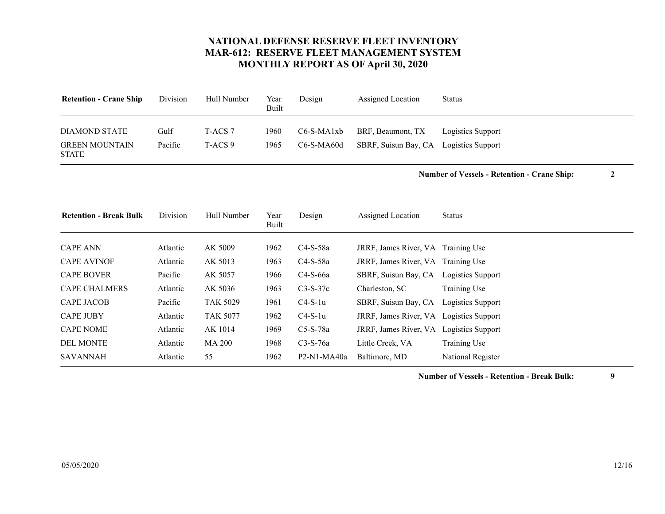<span id="page-11-9"></span><span id="page-11-8"></span>

| <b>Retention - Crane Ship</b>                          | Division        | Hull Number        | Year<br>Built | Design                   | Assigned Location                         | <b>Status</b>                          |
|--------------------------------------------------------|-----------------|--------------------|---------------|--------------------------|-------------------------------------------|----------------------------------------|
| DIAMOND STATE<br><b>GREEN MOUNTAIN</b><br><b>STATE</b> | Gulf<br>Pacific | T-ACS 7<br>T-ACS 9 | 1960-<br>1965 | C6-S-MA1xb<br>C6-S-MA60d | BRF, Beaumont, TX<br>SBRF, Suisun Bay, CA | Logistics Support<br>Logistics Support |

**Number of Vessels - Retention - Crane Ship: 2**

<span id="page-11-10"></span><span id="page-11-7"></span><span id="page-11-6"></span><span id="page-11-5"></span><span id="page-11-4"></span><span id="page-11-3"></span><span id="page-11-2"></span><span id="page-11-1"></span><span id="page-11-0"></span>

| <b>Retention - Break Bulk</b> | Division | Hull Number     | Year<br>Built | Design        | Assigned Location                       | <b>Status</b>     |
|-------------------------------|----------|-----------------|---------------|---------------|-----------------------------------------|-------------------|
| <b>CAPE ANN</b>               | Atlantic | AK 5009         | 1962          | $C4-S-58a$    | JRRF, James River, VA Training Use      |                   |
| <b>CAPE AVINOF</b>            | Atlantic | AK 5013         | 1963          | $C4-S-58a$    | JRRF, James River, VA Training Use      |                   |
| <b>CAPE BOVER</b>             | Pacific  | AK 5057         | 1966          | $C4-S-66a$    | SBRF, Suisun Bay, CA                    | Logistics Support |
| <b>CAPE CHALMERS</b>          | Atlantic | AK 5036         | 1963          | $C3-S-37c$    | Charleston, SC                          | Training Use      |
| <b>CAPE JACOB</b>             | Pacific  | <b>TAK 5029</b> | 1961          | $C4-S-1u$     | SBRF, Suisun Bay, CA                    | Logistics Support |
| <b>CAPE JUBY</b>              | Atlantic | <b>TAK 5077</b> | 1962          | $C4-S-1u$     | JRRF, James River, VA Logistics Support |                   |
| <b>CAPE NOME</b>              | Atlantic | AK 1014         | 1969          | $C5-S-78a$    | JRRF, James River, VA Logistics Support |                   |
| <b>DEL MONTE</b>              | Atlantic | <b>MA 200</b>   | 1968          | $C3-S-76a$    | Little Creek, VA                        | Training Use      |
| <b>SAVANNAH</b>               | Atlantic | 55              | 1962          | $P2-N1-MA40a$ | Baltimore, MD                           | National Register |

**Number of Vessels - Retention - Break Bulk: 9**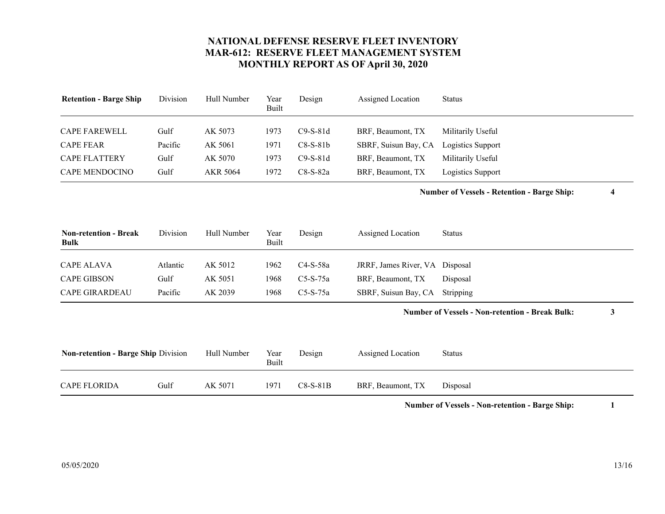<span id="page-12-3"></span><span id="page-12-2"></span><span id="page-12-1"></span>

| <b>Retention - Barge Ship</b> | Division | Hull Number | Year<br>Built | Design     | Assigned Location    | <b>Status</b>     |
|-------------------------------|----------|-------------|---------------|------------|----------------------|-------------------|
| <b>CAPE FAREWELL</b>          | Gulf     | AK 5073     | 1973          | $C9-S-81d$ | BRF, Beaumont, TX    | Militarily Useful |
| <b>CAPE FEAR</b>              | Pacific  | AK 5061     | 1971          | $C8-S-81b$ | SBRF, Suisun Bay, CA | Logistics Support |
| <b>CAPE FLATTERY</b>          | Gulf     | AK 5070     | 1973          | $C9-S-81d$ | BRF, Beaumont, TX    | Militarily Useful |
| <b>CAPE MENDOCINO</b>         | Gulf     | AKR 5064    | 1972          | $C8-S-82a$ | BRF, Beaumont, TX    | Logistics Support |

**Number of Vessels - Retention - Barge Ship: 4**

<span id="page-12-7"></span><span id="page-12-5"></span><span id="page-12-0"></span>

| <b>Non-retention - Break</b><br><b>Bulk</b> | Division | Hull Number | Year<br>Built | Design     | Assigned Location              | Status   |
|---------------------------------------------|----------|-------------|---------------|------------|--------------------------------|----------|
|                                             |          |             |               |            |                                |          |
| <b>CAPE ALAVA</b>                           | Atlantic | AK 5012     | 1962.         | C4-S-58a   | JRRF, James River, VA Disposal |          |
| <b>CAPE GIBSON</b>                          | Gulf     | AK 5051     | 1968          | $C5-S-75a$ | BRF, Beaumont, TX              | Disposal |
| <b>CAPE GIRARDEAU</b>                       | Pacific  | AK 2039     | 1968          | $C5-S-75a$ | SBRF, Suisun Bay, CA Stripping |          |

#### **Number of Vessels - Non-retention - Break Bulk: 3**

<span id="page-12-6"></span><span id="page-12-4"></span>

| <b>Non-retention - Barge Ship Division</b> |      | Hull Number | Year<br>Built | Design     | Assigned Location | <b>Status</b> |
|--------------------------------------------|------|-------------|---------------|------------|-------------------|---------------|
| <b>CAPE FLORIDA</b>                        | Gulf | AK 5071     | 1971          | $C8-S-81B$ | BRF, Beaumont, TX | Disposal      |

**Number of Vessels - Non-retention - Barge Ship: 1**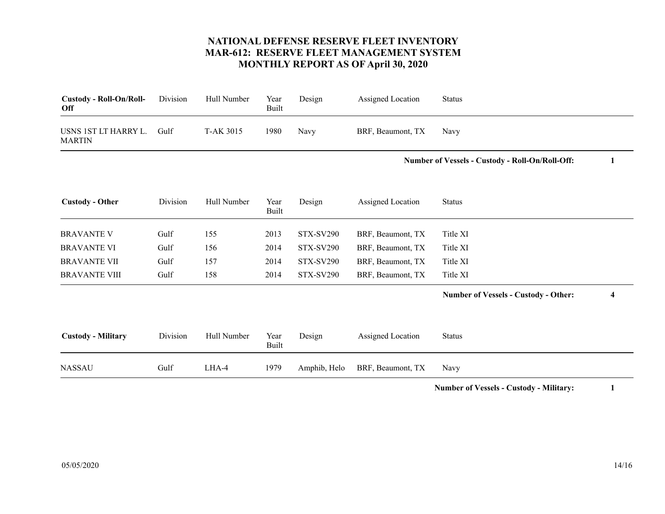<span id="page-13-5"></span><span id="page-13-4"></span><span id="page-13-3"></span><span id="page-13-2"></span><span id="page-13-1"></span><span id="page-13-0"></span>

| Custody - Roll-On/Roll-<br>Off        | Division | Hull Number | Year<br><b>Built</b> | Design           | Assigned Location | <b>Status</b>                                   |   |
|---------------------------------------|----------|-------------|----------------------|------------------|-------------------|-------------------------------------------------|---|
| USNS 1ST LT HARRY L.<br><b>MARTIN</b> | Gulf     | T-AK 3015   | 1980                 | Navy             | BRF, Beaumont, TX | Navy                                            |   |
|                                       |          |             |                      |                  |                   | Number of Vessels - Custody - Roll-On/Roll-Off: | 1 |
| <b>Custody - Other</b>                | Division | Hull Number | Year<br><b>Built</b> | Design           | Assigned Location | <b>Status</b>                                   |   |
| <b>BRAVANTE V</b>                     | Gulf     | 155         | 2013                 | <b>STX-SV290</b> | BRF, Beaumont, TX | Title XI                                        |   |
| <b>BRAVANTE VI</b>                    | Gulf     | 156         | 2014                 | <b>STX-SV290</b> | BRF, Beaumont, TX | Title XI                                        |   |
| <b>BRAVANTE VII</b>                   | Gulf     | 157         | 2014                 | <b>STX-SV290</b> | BRF, Beaumont, TX | Title XI                                        |   |
| <b>BRAVANTE VIII</b>                  | Gulf     | 158         | 2014                 | <b>STX-SV290</b> | BRF, Beaumont, TX | Title XI                                        |   |
|                                       |          |             |                      |                  |                   | <b>Number of Vessels - Custody - Other:</b>     | 4 |
| <b>Custody - Military</b>             | Division | Hull Number | Year<br><b>Built</b> | Design           | Assigned Location | <b>Status</b>                                   |   |
| <b>NASSAU</b>                         | Gulf     | LHA-4       | 1979                 | Amphib, Helo     | BRF, Beaumont, TX | Navy                                            |   |

**Number of Vessels - Custody - Military: 1**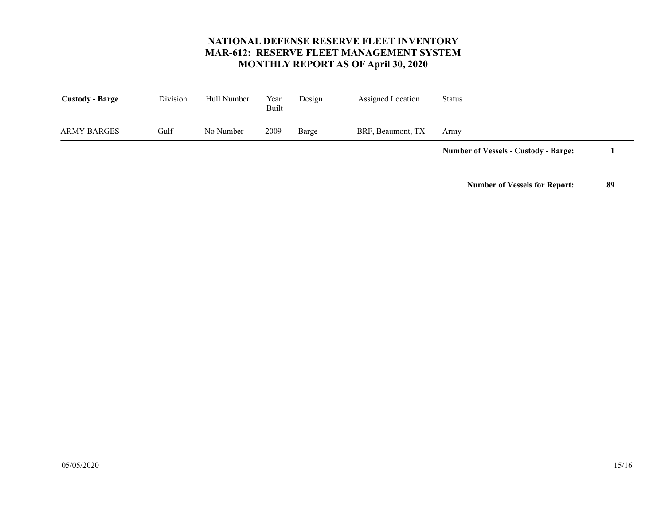<span id="page-14-0"></span>

|                        |          |             |               |        |                   | <b>Number of Vessels - Custody - Barge:</b> |  |
|------------------------|----------|-------------|---------------|--------|-------------------|---------------------------------------------|--|
| ARMY BARGES            | Gulf     | No Number   | 2009          | Barge  | BRF, Beaumont, TX | Armv                                        |  |
| <b>Custody - Barge</b> | Division | Hull Number | Year<br>Built | Design | Assigned Location | <b>Status</b>                               |  |

**Number of Vessels for Report: 89**